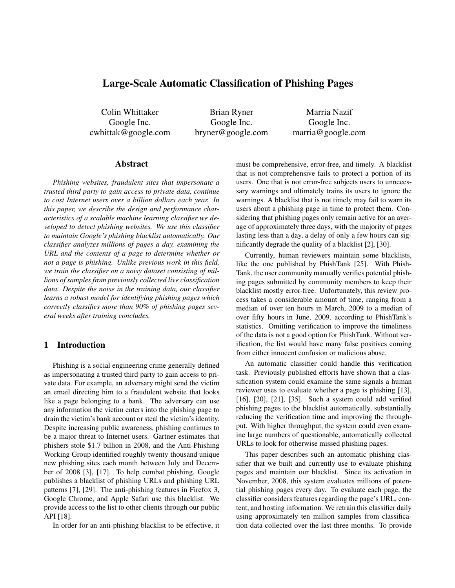# **Large-Scale Automatic Classification of Phishing Pages**

Colin Whittaker Google Inc. cwhittak@google.com

Brian Ryner Google Inc. bryner@google.com

Marria Nazif Google Inc. marria@google.com

## **Abstract**

*Phishing websites, fraudulent sites that impersonate a trusted third party to gain access to private data, continue to cost Internet users over a billion dollars each year. In this paper, we describe the design and performance characteristics of a scalable machine learning classifier we developed to detect phishing websites. We use this classifier to maintain Google's phishing blacklist automatically. Our classifier analyzes millions of pages a day, examining the URL and the contents of a page to determine whether or not a page is phishing. Unlike previous work in this field, we train the classifier on a noisy dataset consisting of millions of samples from previously collected live classification data. Despite the noise in the training data, our classifier learns a robust model for identifying phishing pages which correctly classifies more than 90% of phishing pages several weeks after training concludes.*

# **1 Introduction**

Phishing is a social engineering crime generally defined as impersonating a trusted third party to gain access to private data. For example, an adversary might send the victim an email directing him to a fraudulent website that looks like a page belonging to a bank. The adversary can use any information the victim enters into the phishing page to drain the victim's bank account or steal the victim's identity. Despite increasing public awareness, phishing continues to be a major threat to Internet users. Gartner estimates that phishers stole \$1.7 billion in 2008, and the Anti-Phishing Working Group identified roughly twenty thousand unique new phishing sites each month between July and December of 2008 [3], [17]. To help combat phishing, Google publishes a blacklist of phishing URLs and phishing URL patterns [7], [29]. The anti-phishing features in Firefox 3, Google Chrome, and Apple Safari use this blacklist. We provide access to the list to other clients through our public API [18].

In order for an anti-phishing blacklist to be effective, it

must be comprehensive, error-free, and timely. A blacklist that is not comprehensive fails to protect a portion of its users. One that is not error-free subjects users to unnecessary warnings and ultimately trains its users to ignore the warnings. A blacklist that is not timely may fail to warn its users about a phishing page in time to protect them. Considering that phishing pages only remain active for an average of approximately three days, with the majority of pages lasting less than a day, a delay of only a few hours can significantly degrade the quality of a blacklist [2], [30].

Currently, human reviewers maintain some blacklists, like the one published by PhishTank [25]. With Phish-Tank, the user community manually verifies potential phishing pages submitted by community members to keep their blacklist mostly error-free. Unfortunately, this review process takes a considerable amount of time, ranging from a median of over ten hours in March, 2009 to a median of over fifty hours in June, 2009, according to PhishTank's statistics. Omitting verification to improve the timeliness of the data is not a good option for PhishTank. Without verification, the list would have many false positives coming from either innocent confusion or malicious abuse.

An automatic classifier could handle this verification task. Previously published efforts have shown that a classification system could examine the same signals a human reviewer uses to evaluate whether a page is phishing [13], [16], [20], [21], [35]. Such a system could add verified phishing pages to the blacklist automatically, substantially reducing the verification time and improving the throughput. With higher throughput, the system could even examine large numbers of questionable, automatically collected URLs to look for otherwise missed phishing pages.

This paper describes such an automatic phishing classifier that we built and currently use to evaluate phishing pages and maintain our blacklist. Since its activation in November, 2008, this system evaluates millions of potential phishing pages every day. To evaluate each page, the classifier considers features regarding the page's URL, content, and hosting information. We retrain this classifier daily using approximately ten million samples from classification data collected over the last three months. To provide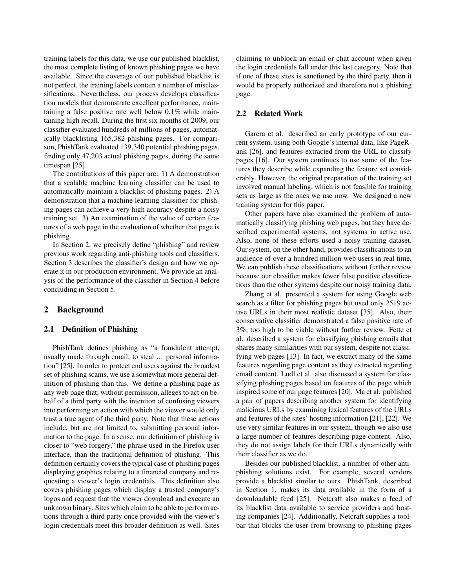training labels for this data, we use our published blacklist, the most complete listing of known phishing pages we have available. Since the coverage of our published blacklist is not perfect, the training labels contain a number of misclassifications. Nevertheless, our process develops classification models that demonstrate excellent performance, maintaining a false positive rate well below 0.1% while maintaining high recall. During the first six months of 2009, our classifier evaluated hundreds of millions of pages, automatically blacklisting 165,382 phishing pages. For comparison, PhishTank evaluated 139,340 potential phishing pages, finding only 47,203 actual phishing pages, during the same timespan [25].

The contributions of this paper are: 1) A demonstration that a scalable machine learning classifier can be used to automatically maintain a blacklist of phishing pages. 2) A demonstration that a machine learning classifier for phishing pages can achieve a very high accuracy despite a noisy training set. 3) An examination of the value of certain features of a web page in the evaluation of whether that page is phishing.

In Section 2, we precisely define "phishing" and review previous work regarding anti-phishing tools and classifiers. Section 3 describes the classifier's design and how we operate it in our production environment. We provide an analysis of the performance of the classifier in Section 4 before concluding in Section 5.

## **2 Background**

#### **2.1 Definition of Phishing**

PhishTank defines phishing as "a fraudulent attempt, usually made through email, to steal ... personal information" [25]. In order to protect end users against the broadest set of phishing scams, we use a somewhat more general definition of phishing than this. We define a phishing page as any web page that, without permission, alleges to act on behalf of a third party with the intention of confusing viewers into performing an action with which the viewer would only trust a true agent of the third party. Note that these actions include, but are not limited to, submitting personal information to the page. In a sense, our definition of phishing is closer to "web forgery," the phrase used in the Firefox user interface, than the traditional definition of phishing. This definition certainly covers the typical case of phishing pages displaying graphics relating to a financial company and requesting a viewer's login credentials. This definition also covers phishing pages which display a trusted company's logos and request that the viewer download and execute an unknown binary. Sites which claim to be able to perform actions through a third party once provided with the viewer's login credentials meet this broader definition as well. Sites

claiming to unblock an email or chat account when given the login credentials fall under this last category. Note that if one of these sites is sanctioned by the third party, then it would be properly authorized and therefore not a phishing page.

## **2.2 Related Work**

Garera et al. described an early prototype of our current system, using both Google's internal data, like PageRank [26], and features extracted from the URL to classify pages [16]. Our system continues to use some of the features they describe while expanding the feature set considerably. However, the original preparation of the training set involved manual labeling, which is not feasible for training sets as large as the ones we use now. We designed a new training system for this paper.

Other papers have also examined the problem of automatically classifying phishing web pages, but they have described experimental systems, not systems in active use. Also, none of these efforts used a noisy training dataset. Our system, on the other hand, provides classifications to an audience of over a hundred million web users in real time. We can publish these classifications without further review because our classifier makes fewer false positive classifications than the other systems despite our noisy training data.

Zhang et al. presented a system for using Google web search as a filter for phishing pages but used only 2519 active URLs in their most realistic dataset [35]. Also, their conservative classifier demonstrated a false positive rate of 3%, too high to be viable without further review. Fette et al. described a system for classifying phishing emails that shares many similarities with our system, despite not classifying web pages [13]. In fact, we extract many of the same features regarding page content as they extracted regarding email content. Ludl et al. also discussed a system for classifying phishing pages based on features of the page which inspired some of our page features [20]. Ma et al. published a pair of papers describing another system for identifying malicious URLs by examining lexical features of the URLs and features of the sites' hosting information [21], [22]. We use very similar features in our system, though we also use a large number of features describing page content. Also, they do not assign labels for their URLs dynamically with their classifier as we do.

Besides our published blacklist, a number of other antiphishing solutions exist. For example, several vendors provide a blacklist similar to ours. PhishTank, described in Section 1, makes its data available in the form of a downloadable feed [25]. Netcraft also makes a feed of its blacklist data available to service providers and hosting companies [24]. Additionally, Netcraft supplies a toolbar that blocks the user from browsing to phishing pages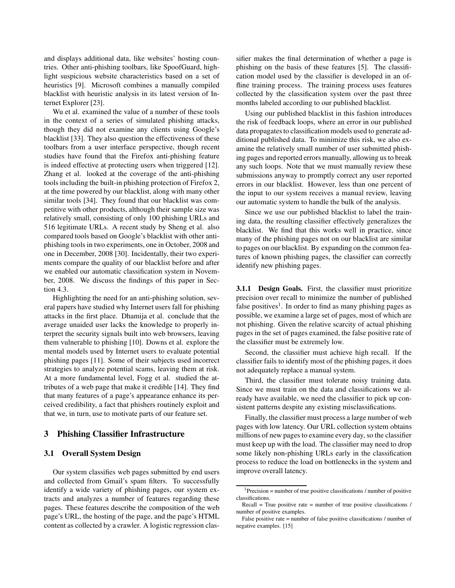and displays additional data, like websites' hosting countries. Other anti-phishing toolbars, like SpoofGuard, highlight suspicious website characteristics based on a set of heuristics [9]. Microsoft combines a manually compiled blacklist with heuristic analysis in its latest version of Internet Explorer [23].

Wu et al. examined the value of a number of these tools in the context of a series of simulated phishing attacks, though they did not examine any clients using Google's blacklist [33]. They also question the effectiveness of these toolbars from a user interface perspective, though recent studies have found that the Firefox anti-phishing feature is indeed effective at protecting users when triggered [12]. Zhang et al. looked at the coverage of the anti-phishing tools including the built-in phishing protection of Firefox 2, at the time powered by our blacklist, along with many other similar tools [34]. They found that our blacklist was competitive with other products, although their sample size was relatively small, consisting of only 100 phishing URLs and 516 legitimate URLs. A recent study by Sheng et al. also compared tools based on Google's blacklist with other antiphishing tools in two experiments, one in October, 2008 and one in December, 2008 [30]. Incidentally, their two experiments compare the quality of our blacklist before and after we enabled our automatic classification system in November, 2008. We discuss the findings of this paper in Section 4.3.

Highlighting the need for an anti-phishing solution, several papers have studied why Internet users fall for phishing attacks in the first place. Dhamija et al. conclude that the average unaided user lacks the knowledge to properly interpret the security signals built into web browsers, leaving them vulnerable to phishing [10]. Downs et al. explore the mental models used by Internet users to evaluate potential phishing pages [11]. Some of their subjects used incorrect strategies to analyze potential scams, leaving them at risk. At a more fundamental level, Fogg et al. studied the attributes of a web page that make it credible [14]. They find that many features of a page's appearance enhance its perceived credibility, a fact that phishers routinely exploit and that we, in turn, use to motivate parts of our feature set.

# **3 Phishing Classifier Infrastructure**

# **3.1 Overall System Design**

Our system classifies web pages submitted by end users and collected from Gmail's spam filters. To successfully identify a wide variety of phishing pages, our system extracts and analyzes a number of features regarding these pages. These features describe the composition of the web page's URL, the hosting of the page, and the page's HTML content as collected by a crawler. A logistic regression clas-

sifier makes the final determination of whether a page is phishing on the basis of these features [5]. The classification model used by the classifier is developed in an offline training process. The training process uses features collected by the classification system over the past three months labeled according to our published blacklist.

Using our published blacklist in this fashion introduces the risk of feedback loops, where an error in our published data propagates to classification models used to generate additional published data. To minimize this risk, we also examine the relatively small number of user submitted phishing pages and reported errors manually, allowing us to break any such loops. Note that we must manually review these submissions anyway to promptly correct any user reported errors in our blacklist. However, less than one percent of the input to our system receives a manual review, leaving our automatic system to handle the bulk of the analysis.

Since we use our published blacklist to label the training data, the resulting classifier effectively generalizes the blacklist. We find that this works well in practice, since many of the phishing pages not on our blacklist are similar to pages on our blacklist. By expanding on the common features of known phishing pages, the classifier can correctly identify new phishing pages.

**3.1.1 Design Goals.** First, the classifier must prioritize precision over recall to minimize the number of published false positives<sup>1</sup>. In order to find as many phishing pages as possible, we examine a large set of pages, most of which are not phishing. Given the relative scarcity of actual phishing pages in the set of pages examined, the false positive rate of the classifier must be extremely low.

Second, the classifier must achieve high recall. If the classifier fails to identify most of the phishing pages, it does not adequately replace a manual system.

Third, the classifier must tolerate noisy training data. Since we must train on the data and classifications we already have available, we need the classifier to pick up consistent patterns despite any existing misclassifications.

Finally, the classifier must process a large number of web pages with low latency. Our URL collection system obtains millions of new pages to examine every day, so the classifier must keep up with the load. The classifier may need to drop some likely non-phishing URLs early in the classification process to reduce the load on bottlenecks in the system and improve overall latency.

 $1$ Precision = number of true positive classifications / number of positive classifications.

Recall = True positive rate = number of true positive classifications  $\prime$ number of positive examples.

False positive rate = number of false positive classifications / number of negative examples. [15]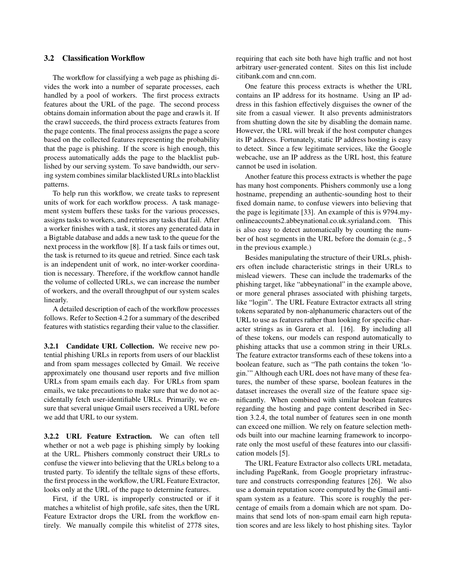# **3.2 Classification Workflow**

The workflow for classifying a web page as phishing divides the work into a number of separate processes, each handled by a pool of workers. The first process extracts features about the URL of the page. The second process obtains domain information about the page and crawls it. If the crawl succeeds, the third process extracts features from the page contents. The final process assigns the page a score based on the collected features representing the probability that the page is phishing. If the score is high enough, this process automatically adds the page to the blacklist published by our serving system. To save bandwidth, our serving system combines similar blacklisted URLs into blacklist patterns.

To help run this workflow, we create tasks to represent units of work for each workflow process. A task management system buffers these tasks for the various processes, assigns tasks to workers, and retries any tasks that fail. After a worker finishes with a task, it stores any generated data in a Bigtable database and adds a new task to the queue for the next process in the workflow [8]. If a task fails or times out, the task is returned to its queue and retried. Since each task is an independent unit of work, no inter-worker coordination is necessary. Therefore, if the workflow cannot handle the volume of collected URLs, we can increase the number of workers, and the overall throughput of our system scales linearly.

A detailed description of each of the workflow processes follows. Refer to Section 4.2 for a summary of the described features with statistics regarding their value to the classifier.

**3.2.1 Candidate URL Collection.** We receive new potential phishing URLs in reports from users of our blacklist and from spam messages collected by Gmail. We receive approximately one thousand user reports and five million URLs from spam emails each day. For URLs from spam emails, we take precautions to make sure that we do not accidentally fetch user-identifiable URLs. Primarily, we ensure that several unique Gmail users received a URL before we add that URL to our system.

**3.2.2 URL Feature Extraction.** We can often tell whether or not a web page is phishing simply by looking at the URL. Phishers commonly construct their URLs to confuse the viewer into believing that the URLs belong to a trusted party. To identify the telltale signs of these efforts, the first process in the workflow, the URL Feature Extractor, looks only at the URL of the page to determine features.

First, if the URL is improperly constructed or if it matches a whitelist of high profile, safe sites, then the URL Feature Extractor drops the URL from the workflow entirely. We manually compile this whitelist of 2778 sites, requiring that each site both have high traffic and not host arbitrary user-generated content. Sites on this list include citibank.com and cnn.com.

One feature this process extracts is whether the URL contains an IP address for its hostname. Using an IP address in this fashion effectively disguises the owner of the site from a casual viewer. It also prevents administrators from shutting down the site by disabling the domain name. However, the URL will break if the host computer changes its IP address. Fortunately, static IP address hosting is easy to detect. Since a few legitimate services, like the Google webcache, use an IP address as the URL host, this feature cannot be used in isolation.

Another feature this process extracts is whether the page has many host components. Phishers commonly use a long hostname, prepending an authentic-sounding host to their fixed domain name, to confuse viewers into believing that the page is legitimate [33]. An example of this is 9794.myonlineaccounts2.abbeynational.co.uk.syrialand.com. This is also easy to detect automatically by counting the number of host segments in the URL before the domain (e.g., 5 in the previous example.)

Besides manipulating the structure of their URLs, phishers often include characteristic strings in their URLs to mislead viewers. These can include the trademarks of the phishing target, like "abbeynational" in the example above, or more general phrases associated with phishing targets, like "login". The URL Feature Extractor extracts all string tokens separated by non-alphanumeric characters out of the URL to use as features rather than looking for specific character strings as in Garera et al. [16]. By including all of these tokens, our models can respond automatically to phishing attacks that use a common string in their URLs. The feature extractor transforms each of these tokens into a boolean feature, such as "The path contains the token 'login.'" Although each URL does not have many of these features, the number of these sparse, boolean features in the dataset increases the overall size of the feature space significantly. When combined with similar boolean features regarding the hosting and page content described in Section 3.2.4, the total number of features seen in one month can exceed one million. We rely on feature selection methods built into our machine learning framework to incorporate only the most useful of these features into our classification models [5].

The URL Feature Extractor also collects URL metadata, including PageRank, from Google proprietary infrastructure and constructs corresponding features [26]. We also use a domain reputation score computed by the Gmail antispam system as a feature. This score is roughly the percentage of emails from a domain which are not spam. Domains that send lots of non-spam email earn high reputation scores and are less likely to host phishing sites. Taylor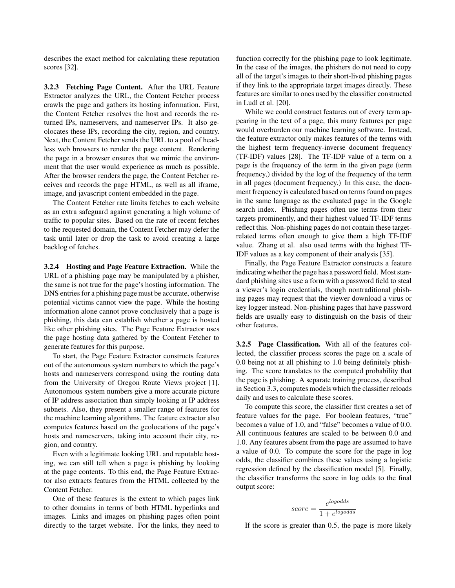describes the exact method for calculating these reputation scores [32].

**3.2.3 Fetching Page Content.** After the URL Feature Extractor analyzes the URL, the Content Fetcher process crawls the page and gathers its hosting information. First, the Content Fetcher resolves the host and records the returned IPs, nameservers, and nameserver IPs. It also geolocates these IPs, recording the city, region, and country. Next, the Content Fetcher sends the URL to a pool of headless web browsers to render the page content. Rendering the page in a browser ensures that we mimic the environment that the user would experience as much as possible. After the browser renders the page, the Content Fetcher receives and records the page HTML, as well as all iframe, image, and javascript content embedded in the page.

The Content Fetcher rate limits fetches to each website as an extra safeguard against generating a high volume of traffic to popular sites. Based on the rate of recent fetches to the requested domain, the Content Fetcher may defer the task until later or drop the task to avoid creating a large backlog of fetches.

**3.2.4 Hosting and Page Feature Extraction.** While the URL of a phishing page may be manipulated by a phisher, the same is not true for the page's hosting information. The DNS entries for a phishing page must be accurate, otherwise potential victims cannot view the page. While the hosting information alone cannot prove conclusively that a page is phishing, this data can establish whether a page is hosted like other phishing sites. The Page Feature Extractor uses the page hosting data gathered by the Content Fetcher to generate features for this purpose.

To start, the Page Feature Extractor constructs features out of the autonomous system numbers to which the page's hosts and nameservers correspond using the routing data from the University of Oregon Route Views project [1]. Autonomous system numbers give a more accurate picture of IP address association than simply looking at IP address subnets. Also, they present a smaller range of features for the machine learning algorithms. The feature extractor also computes features based on the geolocations of the page's hosts and nameservers, taking into account their city, region, and country.

Even with a legitimate looking URL and reputable hosting, we can still tell when a page is phishing by looking at the page contents. To this end, the Page Feature Extractor also extracts features from the HTML collected by the Content Fetcher.

One of these features is the extent to which pages link to other domains in terms of both HTML hyperlinks and images. Links and images on phishing pages often point directly to the target website. For the links, they need to function correctly for the phishing page to look legitimate. In the case of the images, the phishers do not need to copy all of the target's images to their short-lived phishing pages if they link to the appropriate target images directly. These features are similar to ones used by the classifier constructed in Ludl et al. [20].

While we could construct features out of every term appearing in the text of a page, this many features per page would overburden our machine learning software. Instead, the feature extractor only makes features of the terms with the highest term frequency-inverse document frequency (TF-IDF) values [28]. The TF-IDF value of a term on a page is the frequency of the term in the given page (term frequency,) divided by the log of the frequency of the term in all pages (document frequency.) In this case, the document frequency is calculated based on terms found on pages in the same language as the evaluated page in the Google search index. Phishing pages often use terms from their targets prominently, and their highest valued TF-IDF terms reflect this. Non-phishing pages do not contain these targetrelated terms often enough to give them a high TF-IDF value. Zhang et al. also used terms with the highest TF-IDF values as a key component of their analysis [35].

Finally, the Page Feature Extractor constructs a feature indicating whether the page has a password field. Most standard phishing sites use a form with a password field to steal a viewer's login credentials, though nontraditional phishing pages may request that the viewer download a virus or key logger instead. Non-phishing pages that have password fields are usually easy to distinguish on the basis of their other features.

**3.2.5 Page Classification.** With all of the features collected, the classifier process scores the page on a scale of 0.0 being not at all phishing to 1.0 being definitely phishing. The score translates to the computed probability that the page is phishing. A separate training process, described in Section 3.3, computes models which the classifier reloads daily and uses to calculate these scores.

To compute this score, the classifier first creates a set of feature values for the page. For boolean features, "true" becomes a value of 1.0, and "false" becomes a value of 0.0. All continuous features are scaled to be between 0.0 and 1.0. Any features absent from the page are assumed to have a value of 0.0. To compute the score for the page in log odds, the classifier combines these values using a logistic regression defined by the classification model [5]. Finally, the classifier transforms the score in log odds to the final output score:

$$
score = \frac{e^{logodds}}{1 + e^{logodds}}
$$

If the score is greater than 0.5, the page is more likely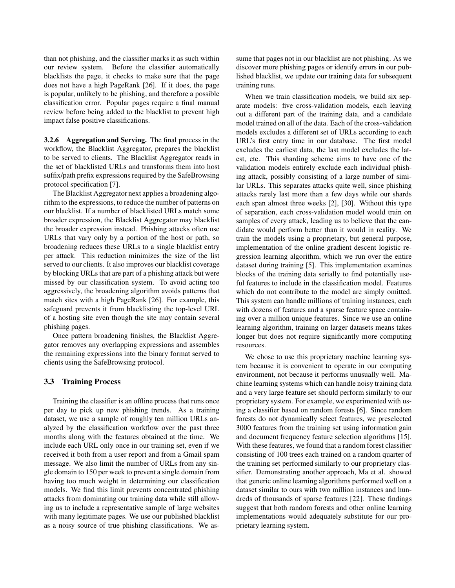than not phishing, and the classifier marks it as such within our review system. Before the classifier automatically blacklists the page, it checks to make sure that the page does not have a high PageRank [26]. If it does, the page is popular, unlikely to be phishing, and therefore a possible classification error. Popular pages require a final manual review before being added to the blacklist to prevent high impact false positive classifications.

**3.2.6 Aggregation and Serving.** The final process in the workflow, the Blacklist Aggregator, prepares the blacklist to be served to clients. The Blacklist Aggregator reads in the set of blacklisted URLs and transforms them into host suffix/path prefix expressions required by the SafeBrowsing protocol specification [7].

The Blacklist Aggregator next applies a broadening algorithm to the expressions, to reduce the number of patterns on our blacklist. If a number of blacklisted URLs match some broader expression, the Blacklist Aggregator may blacklist the broader expression instead. Phishing attacks often use URLs that vary only by a portion of the host or path, so broadening reduces these URLs to a single blacklist entry per attack. This reduction minimizes the size of the list served to our clients. It also improves our blacklist coverage by blocking URLs that are part of a phishing attack but were missed by our classification system. To avoid acting too aggressively, the broadening algorithm avoids patterns that match sites with a high PageRank [26]. For example, this safeguard prevents it from blacklisting the top-level URL of a hosting site even though the site may contain several phishing pages.

Once pattern broadening finishes, the Blacklist Aggregator removes any overlapping expressions and assembles the remaining expressions into the binary format served to clients using the SafeBrowsing protocol.

#### **3.3 Training Process**

Training the classifier is an offline process that runs once per day to pick up new phishing trends. As a training dataset, we use a sample of roughly ten million URLs analyzed by the classification workflow over the past three months along with the features obtained at the time. We include each URL only once in our training set, even if we received it both from a user report and from a Gmail spam message. We also limit the number of URLs from any single domain to 150 per week to prevent a single domain from having too much weight in determining our classification models. We find this limit prevents concentrated phishing attacks from dominating our training data while still allowing us to include a representative sample of large websites with many legitimate pages. We use our published blacklist as a noisy source of true phishing classifications. We assume that pages not in our blacklist are not phishing. As we discover more phishing pages or identify errors in our published blacklist, we update our training data for subsequent training runs.

When we train classification models, we build six separate models: five cross-validation models, each leaving out a different part of the training data, and a candidate model trained on all of the data. Each of the cross-validation models excludes a different set of URLs according to each URL's first entry time in our database. The first model excludes the earliest data, the last model excludes the latest, etc. This sharding scheme aims to have one of the validation models entirely exclude each individual phishing attack, possibly consisting of a large number of similar URLs. This separates attacks quite well, since phishing attacks rarely last more than a few days while our shards each span almost three weeks [2], [30]. Without this type of separation, each cross-validation model would train on samples of every attack, leading us to believe that the candidate would perform better than it would in reality. We train the models using a proprietary, but general purpose, implementation of the online gradient descent logistic regression learning algorithm, which we run over the entire dataset during training [5]. This implementation examines blocks of the training data serially to find potentially useful features to include in the classification model. Features which do not contribute to the model are simply omitted. This system can handle millions of training instances, each with dozens of features and a sparse feature space containing over a million unique features. Since we use an online learning algorithm, training on larger datasets means takes longer but does not require significantly more computing resources.

We chose to use this proprietary machine learning system because it is convenient to operate in our computing environment, not because it performs unusually well. Machine learning systems which can handle noisy training data and a very large feature set should perform similarly to our proprietary system. For example, we experimented with using a classifier based on random forests [6]. Since random forests do not dynamically select features, we preselected 3000 features from the training set using information gain and document frequency feature selection algorithms [15]. With these features, we found that a random forest classifier consisting of 100 trees each trained on a random quarter of the training set performed similarly to our proprietary classifier. Demonstrating another approach, Ma et al. showed that generic online learning algorithms performed well on a dataset similar to ours with two million instances and hundreds of thousands of sparse features [22]. These findings suggest that both random forests and other online learning implementations would adequately substitute for our proprietary learning system.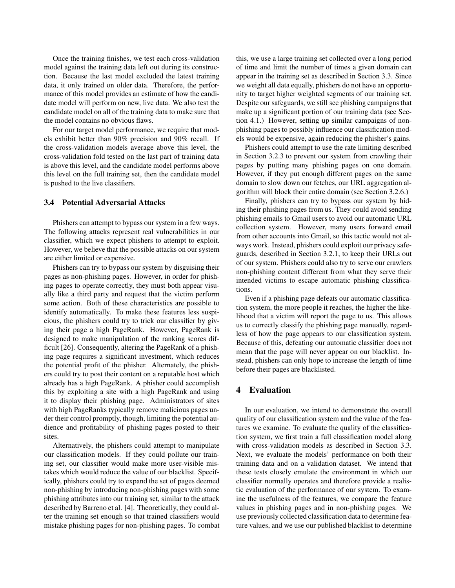Once the training finishes, we test each cross-validation model against the training data left out during its construction. Because the last model excluded the latest training data, it only trained on older data. Therefore, the performance of this model provides an estimate of how the candidate model will perform on new, live data. We also test the candidate model on all of the training data to make sure that the model contains no obvious flaws.

For our target model performance, we require that models exhibit better than 90% precision and 90% recall. If the cross-validation models average above this level, the cross-validation fold tested on the last part of training data is above this level, and the candidate model performs above this level on the full training set, then the candidate model is pushed to the live classifiers.

#### **3.4 Potential Adversarial Attacks**

Phishers can attempt to bypass our system in a few ways. The following attacks represent real vulnerabilities in our classifier, which we expect phishers to attempt to exploit. However, we believe that the possible attacks on our system are either limited or expensive.

Phishers can try to bypass our system by disguising their pages as non-phishing pages. However, in order for phishing pages to operate correctly, they must both appear visually like a third party and request that the victim perform some action. Both of these characteristics are possible to identify automatically. To make these features less suspicious, the phishers could try to trick our classifier by giving their page a high PageRank. However, PageRank is designed to make manipulation of the ranking scores difficult [26]. Consequently, altering the PageRank of a phishing page requires a significant investment, which reduces the potential profit of the phisher. Alternately, the phishers could try to post their content on a reputable host which already has a high PageRank. A phisher could accomplish this by exploiting a site with a high PageRank and using it to display their phishing page. Administrators of sites with high PageRanks typically remove malicious pages under their control promptly, though, limiting the potential audience and profitability of phishing pages posted to their sites.

Alternatively, the phishers could attempt to manipulate our classification models. If they could pollute our training set, our classifier would make more user-visible mistakes which would reduce the value of our blacklist. Specifically, phishers could try to expand the set of pages deemed non-phishing by introducing non-phishing pages with some phishing attributes into our training set, similar to the attack described by Barreno et al. [4]. Theoretically, they could alter the training set enough so that trained classifiers would mistake phishing pages for non-phishing pages. To combat this, we use a large training set collected over a long period of time and limit the number of times a given domain can appear in the training set as described in Section 3.3. Since we weight all data equally, phishers do not have an opportunity to target higher weighted segments of our training set. Despite our safeguards, we still see phishing campaigns that make up a significant portion of our training data (see Section 4.1.) However, setting up similar campaigns of nonphishing pages to possibly influence our classification models would be expensive, again reducing the phisher's gains.

Phishers could attempt to use the rate limiting described in Section 3.2.3 to prevent our system from crawling their pages by putting many phishing pages on one domain. However, if they put enough different pages on the same domain to slow down our fetches, our URL aggregation algorithm will block their entire domain (see Section 3.2.6.)

Finally, phishers can try to bypass our system by hiding their phishing pages from us. They could avoid sending phishing emails to Gmail users to avoid our automatic URL collection system. However, many users forward email from other accounts into Gmail, so this tactic would not always work. Instead, phishers could exploit our privacy safeguards, described in Section 3.2.1, to keep their URLs out of our system. Phishers could also try to serve our crawlers non-phishing content different from what they serve their intended victims to escape automatic phishing classifications.

Even if a phishing page defeats our automatic classification system, the more people it reaches, the higher the likelihood that a victim will report the page to us. This allows us to correctly classify the phishing page manually, regardless of how the page appears to our classification system. Because of this, defeating our automatic classifier does not mean that the page will never appear on our blacklist. Instead, phishers can only hope to increase the length of time before their pages are blacklisted.

# **4 Evaluation**

In our evaluation, we intend to demonstrate the overall quality of our classification system and the value of the features we examine. To evaluate the quality of the classification system, we first train a full classification model along with cross-validation models as described in Section 3.3. Next, we evaluate the models' performance on both their training data and on a validation dataset. We intend that these tests closely emulate the environment in which our classifier normally operates and therefore provide a realistic evaluation of the performance of our system. To examine the usefulness of the features, we compare the feature values in phishing pages and in non-phishing pages. We use previously collected classification data to determine feature values, and we use our published blacklist to determine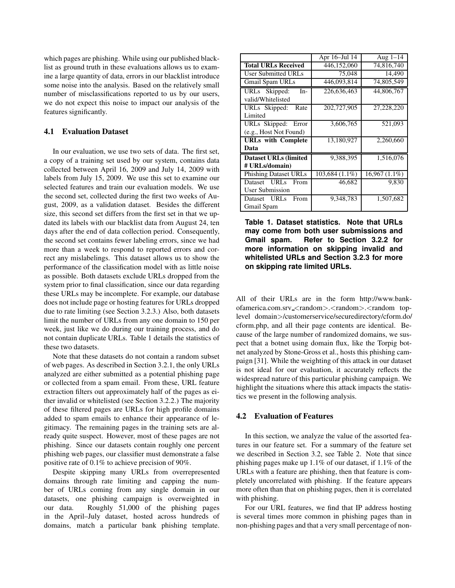which pages are phishing. While using our published blacklist as ground truth in these evaluations allows us to examine a large quantity of data, errors in our blacklist introduce some noise into the analysis. Based on the relatively small number of misclassifications reported to us by our users, we do not expect this noise to impact our analysis of the features significantly.

# **4.1 Evaluation Dataset**

In our evaluation, we use two sets of data. The first set, a copy of a training set used by our system, contains data collected between April 16, 2009 and July 14, 2009 with labels from July 15, 2009. We use this set to examine our selected features and train our evaluation models. We use the second set, collected during the first two weeks of August, 2009, as a validation dataset. Besides the different size, this second set differs from the first set in that we updated its labels with our blacklist data from August 24, ten days after the end of data collection period. Consequently, the second set contains fewer labeling errors, since we had more than a week to respond to reported errors and correct any mislabelings. This dataset allows us to show the performance of the classification model with as little noise as possible. Both datasets exclude URLs dropped from the system prior to final classification, since our data regarding these URLs may be incomplete. For example, our database does not include page or hosting features for URLs dropped due to rate limiting (see Section 3.2.3.) Also, both datasets limit the number of URLs from any one domain to 150 per week, just like we do during our training process, and do not contain duplicate URLs. Table 1 details the statistics of these two datasets.

Note that these datasets do not contain a random subset of web pages. As described in Section 3.2.1, the only URLs analyzed are either submitted as a potential phishing page or collected from a spam email. From these, URL feature extraction filters out approximately half of the pages as either invalid or whitelisted (see Section 3.2.2.) The majority of these filtered pages are URLs for high profile domains added to spam emails to enhance their appearance of legitimacy. The remaining pages in the training sets are already quite suspect. However, most of these pages are not phishing. Since our datasets contain roughly one percent phishing web pages, our classifier must demonstrate a false positive rate of 0.1% to achieve precision of 90%.

Despite skipping many URLs from overrepresented domains through rate limiting and capping the number of URLs coming from any single domain in our datasets, one phishing campaign is overweighted in our data. Roughly 51,000 of the phishing pages in the April–July dataset, hosted across hundreds of domains, match a particular bank phishing template.

|                               | Apr 16-Jul 14    | Aug $1-14$      |
|-------------------------------|------------------|-----------------|
| <b>Total URLs Received</b>    | 446,152,060      | 74,816,740      |
| <b>User Submitted URLs</b>    | 75,048           | 14,490          |
| <b>Gmail Spam URLs</b>        | 446.093.814      | 74,805,549      |
| URLs Skipped:<br>$In-$        | 226,636,463      | 44,806,767      |
| valid/Whitelisted             |                  |                 |
| URLs Skipped:<br>Rate         | 202,727,905      | 27,228,220      |
| Limited                       |                  |                 |
| URLs Skipped:<br>Error        | 3,606,765        | 521,093         |
| (e.g., Host Not Found)        |                  |                 |
| <b>URLs</b> with Complete     | 13,180,927       | 2,260,660       |
| Data                          |                  |                 |
| <b>Dataset URLs (limited)</b> | 9,388,395        | 1,516,076       |
| # URLs/domain)                |                  |                 |
| <b>Phishing Dataset URLs</b>  | $103,684(1.1\%)$ | $16,967(1.1\%)$ |
| Dataset URLs<br>From          | 46,682           | 9,830           |
| User Submission               |                  |                 |
| Dataset URLs<br>From          | 9,348,783        | 1,507,682       |
| Gmail Spam                    |                  |                 |

**Table 1. Dataset statistics. Note that URLs may come from both user submissions and Gmail spam. Refer to Section 3.2.2 for more information on skipping invalid and whitelisted URLs and Section 3.2.3 for more on skipping rate limited URLs.**

All of their URLs are in the form http://www.bankofamerica.com.srv\_<random>.<random>.<random toplevel domain>/customerservice/securedirectory/cform.do/ cform.php, and all their page contents are identical. Because of the large number of randomized domains, we suspect that a botnet using domain flux, like the Torpig botnet analyzed by Stone-Gross et al., hosts this phishing campaign [31]. While the weighting of this attack in our dataset is not ideal for our evaluation, it accurately reflects the widespread nature of this particular phishing campaign. We highlight the situations where this attack impacts the statistics we present in the following analysis.

# **4.2 Evaluation of Features**

In this section, we analyze the value of the assorted features in our feature set. For a summary of the feature set we described in Section 3.2, see Table 2. Note that since phishing pages make up 1.1% of our dataset, if 1.1% of the URLs with a feature are phishing, then that feature is completely uncorrelated with phishing. If the feature appears more often than that on phishing pages, then it is correlated with phishing.

For our URL features, we find that IP address hosting is several times more common in phishing pages than in non-phishing pages and that a very small percentage of non-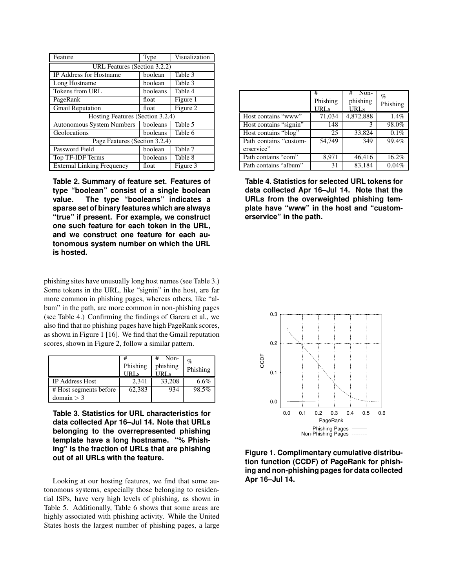| Feature                           | Type     | Visualization |  |
|-----------------------------------|----------|---------------|--|
| URL Features (Section 3.2.2)      |          |               |  |
| <b>IP</b> Address for Hostname    | boolean  | Table 3       |  |
| Long Hostname                     | boolean  | Table 3       |  |
| Tokens from URL                   | booleans | Table 4       |  |
| PageRank                          | float    | Figure 1      |  |
| <b>Gmail Reputation</b>           | float    | Figure 2      |  |
| Hosting Features (Section 3.2.4)  |          |               |  |
| <b>Autonomous System Numbers</b>  | booleans | Table 5       |  |
| Geolocations                      | booleans | Table 6       |  |
| Page Features (Section 3.2.4)     |          |               |  |
| Password Field                    | boolean  | Table 7       |  |
| Top TF-IDF Terms                  | booleans | Table 8       |  |
| <b>External Linking Frequency</b> | float    | Figure 3      |  |

**Table 2. Summary of feature set. Features of type "boolean" consist of a single boolean value. The type "booleans" indicates a sparse set of binary features which are always "true" if present. For example, we construct one such feature for each token in the URL, and we construct one feature for each autonomous system number on which the URL is hosted.**

phishing sites have unusually long host names (see Table 3.) Some tokens in the URL, like "signin" in the host, are far more common in phishing pages, whereas others, like "album" in the path, are more common in non-phishing pages (see Table 4.) Confirming the findings of Garera et al., we also find that no phishing pages have high PageRank scores, as shown in Figure 1 [16]. We find that the Gmail reputation scores, shown in Figure 2, follow a similar pattern.

|                        | Phishing | Non-<br>phishing<br>IRI s | %<br>Phishing |
|------------------------|----------|---------------------------|---------------|
| IP Address Host        | 2.341    | 33,208                    | 6.6%          |
| # Host segments before | 62.383   | 934                       | 98.5%         |
| domain > 3             |          |                           |               |

**Table 3. Statistics for URL characteristics for data collected Apr 16–Jul 14. Note that URLs belonging to the overrepresented phishing template have a long hostname. "% Phishing" is the fraction of URLs that are phishing out of all URLs with the feature.**

Looking at our hosting features, we find that some autonomous systems, especially those belonging to residential ISPs, have very high levels of phishing, as shown in Table 5. Additionally, Table 6 shows that some areas are highly associated with phishing activity. While the United States hosts the largest number of phishing pages, a large

|                                      | #<br>Phishing<br>URLs | $#$ Non-<br>phishing<br>URLs | $\%$<br>Phishing |
|--------------------------------------|-----------------------|------------------------------|------------------|
| Host contains "www"                  | 71,034                | 4,872,888                    | 1.4%             |
| Host contains "signin"               | 148                   | 3                            | 98.0%            |
| Host contains "blog"                 | 25                    | 33,824                       | 0.1%             |
| Path contains "custom-<br>erservice" | 54.749                | 349                          | 99.4%            |
| Path contains "com"                  | 8,971                 | 46,416                       | 16.2%            |
| Path contains "album"                | 31                    | 83,184                       | 0.04%            |

**Table 4. Statistics for selected URL tokens for data collected Apr 16–Jul 14. Note that the URLs from the overweighted phishing template have "www" in the host and "customerservice" in the path.**



**Figure 1. Complimentary cumulative distribution function (CCDF) of PageRank for phishing and non-phishing pages for data collected Apr 16–Jul 14.**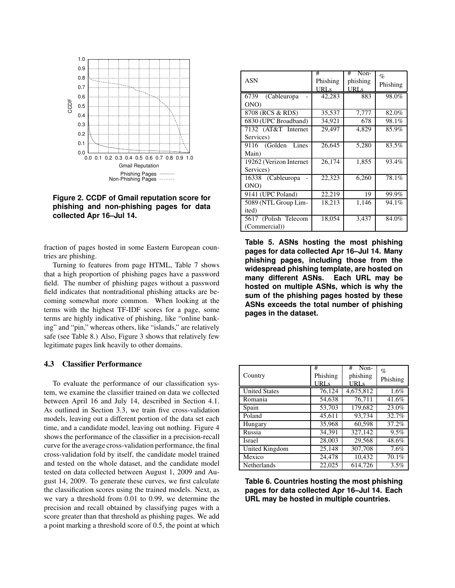

**Figure 2. CCDF of Gmail reputation score for phishing and non-phishing pages for data collected Apr 16–Jul 14.**

fraction of pages hosted in some Eastern European countries are phishing.

Turning to features from page HTML, Table 7 shows that a high proportion of phishing pages have a password field. The number of phishing pages without a password field indicates that nontraditional phishing attacks are becoming somewhat more common. When looking at the terms with the highest TF-IDF scores for a page, some terms are highly indicative of phishing, like "online banking" and "pin," whereas others, like "islands," are relatively safe (see Table 8.) Also, Figure 3 shows that relatively few legitimate pages link heavily to other domains.

## **4.3 Classifier Performance**

To evaluate the performance of our classification system, we examine the classifier trained on data we collected between April 16 and July 14, described in Section 4.1. As outlined in Section 3.3, we train five cross-validation models, leaving out a different portion of the data set each time, and a candidate model, leaving out nothing. Figure 4 shows the performance of the classifier in a precision-recall curve for the average cross-validation performance, the final cross-validation fold by itself, the candidate model trained and tested on the whole dataset, and the candidate model tested on data collected between August 1, 2009 and August 14, 2009. To generate these curves, we first calculate the classification scores using the trained models. Next, as we vary a threshold from 0.01 to 0.99, we determine the precision and recall obtained by classifying pages with a score greater than that threshold as phishing pages. We add a point marking a threshold score of 0.5, the point at which

|                         | #        | # Non-      | $\%$     |
|-------------------------|----------|-------------|----------|
| <b>ASN</b>              | Phishing | phishing    | Phishing |
|                         | URLs     | <b>URLs</b> |          |
| (Cableuropa<br>6739     | 42,283   | 883         | 98.0%    |
| ONO)                    |          |             |          |
| 8708 (RCS & RDS)        | 35,537   | 7,777       | 82.0%    |
| 6830 (UPC Broadband)    | 34,921   | 678         | 98.1%    |
| 7132 (AT&T Internet     | 29,497   | 4,829       | 85.9%    |
| Services)               |          |             |          |
| 9116 (Golden<br>Lines   | 26,645   | 5,280       | 83.5%    |
| Main)                   |          |             |          |
| 19262 (Verizon Internet | 26,174   | 1,855       | 93.4%    |
| Services)               |          |             |          |
| 16338 (Cableuropa       | 22,323   | 6,260       | 78.1%    |
| ONO)                    |          |             |          |
| 9141 (UPC Poland)       | 22,219   | 19          | 99.9%    |
| 5089 (NTL Group Lim-    | 18,213   | 1,146       | 94.1%    |
| ited)                   |          |             |          |
| 5617 (Polish Telecom    | 18,054   | 3,437       | 84.0%    |
| (Commercial))           |          |             |          |

**Table 5. ASNs hosting the most phishing pages for data collected Apr 16–Jul 14. Many phishing pages, including those from the widespread phishing template, are hosted on many different ASNs. Each URL may be hosted on multiple ASNs, which is why the sum of the phishing pages hosted by these ASNs exceeds the total number of phishing pages in the dataset.**

| Country              | #<br>Phishing<br>URLs | Non-<br>#<br>phishing<br><b>URLs</b> | $\%$<br>Phishing |
|----------------------|-----------------------|--------------------------------------|------------------|
| <b>United States</b> | 76,124                | 4,675,812                            | 1.6%             |
| Romania              | 54,638                | 76,711                               | 41.6%            |
| Spain                | 53,703                | 179,682                              | 23.0%            |
| Poland               | 45,611                | 93,734                               | 32.7%            |
| Hungary              | 35,968                | 60,598                               | 37.2%            |
| Russia               | 34,391                | 327,142                              | 9.5%             |
| <b>Israel</b>        | 28,003                | 29,568                               | 48.6%            |
| United Kingdom       | 25,148                | 307,708                              | 7.6%             |
| Mexico               | 24,478                | 10,432                               | 70.1%            |
| Netherlands          | 22,025                | 614,726                              | 3.5%             |

**Table 6. Countries hosting the most phishing pages for data collected Apr 16–Jul 14. Each URL may be hosted in multiple countries.**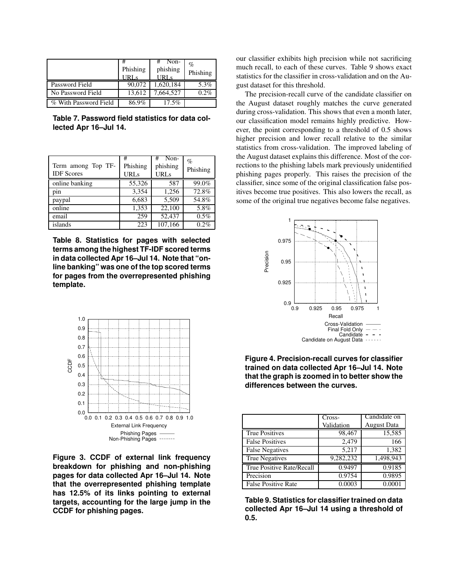|                       | #<br>Phishing<br>URL <sub>s</sub> | Non-<br>phishing<br>URL <sub>S</sub> | %<br>Phishing |
|-----------------------|-----------------------------------|--------------------------------------|---------------|
| Password Field        | 90,072                            | 1,620,184                            | 5.3%          |
| No Password Field     | 13.612                            | 7,664,527                            | 0.2%          |
| % With Password Field | 86.9%                             | 17.5%                                |               |

**Table 7. Password field statistics for data collected Apr 16–Jul 14.**

| Term among Top TF-<br><b>IDF</b> Scores | #<br>Phishing<br><b>URLs</b> | Non-<br>#<br>phishing<br><b>URLs</b> | $\%$<br>Phishing |
|-----------------------------------------|------------------------------|--------------------------------------|------------------|
| online banking                          | 55,326                       | 587                                  | 99.0%            |
| pin                                     | 3,354                        | 1,256                                | 72.8%            |
| paypal                                  | 6,683                        | 5,509                                | 54.8%            |
| online                                  | 1,353                        | 22.100                               | 5.8%             |
| email                                   | 259                          | 52,437                               | 0.5%             |
| islands                                 | 223                          | 107,166                              | 0.2%             |

**Table 8. Statistics for pages with selected terms among the highest TF-IDF scored terms in data collected Apr 16–Jul 14. Note that "online banking" was one of the top scored terms for pages from the overrepresented phishing template.**



**Figure 3. CCDF of external link frequency breakdown for phishing and non-phishing pages for data collected Apr 16–Jul 14. Note that the overrepresented phishing template has 12.5% of its links pointing to external targets, accounting for the large jump in the CCDF for phishing pages.**

our classifier exhibits high precision while not sacrificing much recall, to each of these curves. Table 9 shows exact statistics for the classifier in cross-validation and on the August dataset for this threshold.

The precision-recall curve of the candidate classifier on the August dataset roughly matches the curve generated during cross-validation. This shows that even a month later, our classification model remains highly predictive. However, the point corresponding to a threshold of 0.5 shows higher precision and lower recall relative to the similar statistics from cross-validation. The improved labeling of the August dataset explains this difference. Most of the corrections to the phishing labels mark previously unidentified phishing pages properly. This raises the precision of the classifier, since some of the original classification false positives become true positives. This also lowers the recall, as some of the original true negatives become false negatives.



**Figure 4. Precision-recall curves for classifier trained on data collected Apr 16–Jul 14. Note that the graph is zoomed in to better show the differences between the curves.**

|                            | Cross-     | Candidate on       |
|----------------------------|------------|--------------------|
|                            | Validation | <b>August Data</b> |
| <b>True Positives</b>      | 98,467     | 15,585             |
| <b>False Positives</b>     | 2,479      | 166                |
| <b>False Negatives</b>     | 5,217      | 1,382              |
| <b>True Negatives</b>      | 9,282,232  | 1,498,943          |
| True Positive Rate/Recall  | 0.9497     | 0.9185             |
| Precision                  | 0.9754     | 0.9895             |
| <b>False Positive Rate</b> | 0.0003     | 0.0001             |

**Table 9. Statistics for classifier trained on data collected Apr 16–Jul 14 using a threshold of 0.5.**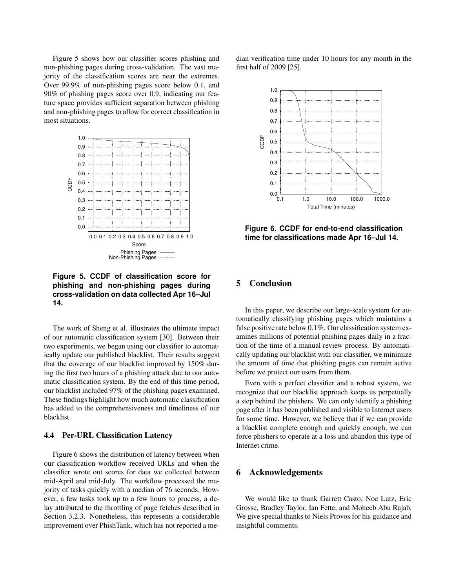Figure 5 shows how our classifier scores phishing and non-phishing pages during cross-validation. The vast majority of the classification scores are near the extremes. Over 99.9% of non-phishing pages score below 0.1, and 90% of phishing pages score over 0.9, indicating our feature space provides sufficient separation between phishing and non-phishing pages to allow for correct classification in most situations.



**Figure 5. CCDF of classification score for phishing and non-phishing pages during cross-validation on data collected Apr 16–Jul 14.**

The work of Sheng et al. illustrates the ultimate impact of our automatic classification system [30]. Between their two experiments, we began using our classifier to automatically update our published blacklist. Their results suggest that the coverage of our blacklist improved by 150% during the first two hours of a phishing attack due to our automatic classification system. By the end of this time period, our blacklist included 97% of the phishing pages examined. These findings highlight how much automatic classification has added to the comprehensiveness and timeliness of our blacklist.

### **4.4 Per-URL Classification Latency**

Figure 6 shows the distribution of latency between when our classification workflow received URLs and when the classifier wrote out scores for data we collected between mid-April and mid-July. The workflow processed the majority of tasks quickly with a median of 76 seconds. However, a few tasks took up to a few hours to process, a delay attributed to the throttling of page fetches described in Section 3.2.3. Nonetheless, this represents a considerable improvement over PhishTank, which has not reported a median verification time under 10 hours for any month in the first half of 2009 [25].



**Figure 6. CCDF for end-to-end classification time for classifications made Apr 16–Jul 14.**

# **5 Conclusion**

In this paper, we describe our large-scale system for automatically classifying phishing pages which maintains a false positive rate below 0.1%. Our classification system examines millions of potential phishing pages daily in a fraction of the time of a manual review process. By automatically updating our blacklist with our classifier, we minimize the amount of time that phishing pages can remain active before we protect our users from them.

Even with a perfect classifier and a robust system, we recognize that our blacklist approach keeps us perpetually a step behind the phishers. We can only identify a phishing page after it has been published and visible to Internet users for some time. However, we believe that if we can provide a blacklist complete enough and quickly enough, we can force phishers to operate at a loss and abandon this type of Internet crime.

### **6 Acknowledgements**

We would like to thank Garrett Casto, Noe Lutz, Eric Grosse, Bradley Taylor, Ian Fette, and Moheeb Abu Rajab. We give special thanks to Niels Provos for his guidance and insightful comments.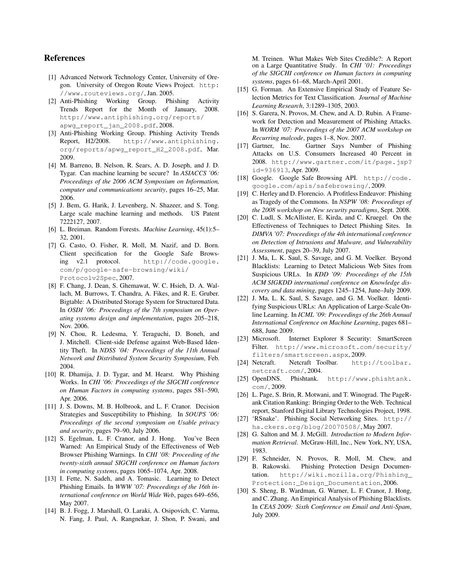# **References**

- [1] Advanced Network Technology Center, University of Oregon. University of Oregon Route Views Project. http: //www.routeviews.org/, Jan. 2005.
- [2] Anti-Phishing Working Group. Phishing Activity Trends Report for the Month of January, 2008. http://www.antiphishing.org/reports/ apwg\_report\_jan\_2008.pdf, 2008.
- [3] Anti-Phishing Working Group. Phishing Activity Trends Report, H2/2008. http://www.antiphishing. org/reports/apwg\_report\_H2\_2008.pdf, Mar. 2009.
- [4] M. Barreno, B. Nelson, R. Sears, A. D. Joseph, and J. D. Tygar. Can machine learning be secure? In *ASIACCS '06: Proceedings of the 2006 ACM Symposium on Information, computer and communications security*, pages 16–25, Mar. 2006.
- [5] J. Bem, G. Harik, J. Levenberg, N. Shazeer, and S. Tong. Large scale machine learning and methods. US Patent 7222127, 2007.
- [6] L. Breiman. Random Forests. *Machine Learning*, 45(1):5– 32, 2001.
- [7] G. Casto, O. Fisher, R. Moll, M. Nazif, and D. Born. Client specification for the Google Safe Browsing v2.1 protocol. http://code.google. com/p/google-safe-browsing/wiki/ Protocolv2Spec, 2007.
- [8] F. Chang, J. Dean, S. Ghemawat, W. C. Hsieh, D. A. Wallach, M. Burrows, T. Chandra, A. Fikes, and R. E. Gruber. Bigtable: A Distributed Storage System for Structured Data. In *OSDI '06: Proceedings of the 7th symposium on Operating systems design and implementation*, pages 205–218, Nov. 2006.
- [9] N. Chou, R. Ledesma, Y. Teraguchi, D. Boneh, and J. Mitchell. Client-side Defense against Web-Based Identity Theft. In *NDSS '04: Proceedings of the 11th Annual Network and Distributed System Security Symposium*, Feb. 2004.
- [10] R. Dhamija, J. D. Tygar, and M. Hearst. Why Phishing Works. In *CHI '06: Proceedings of the SIGCHI conference on Human Factors in computing systems*, pages 581–590, Apr. 2006.
- [11] J. S. Downs, M. B. Holbrook, and L. F. Cranor. Decision Strategies and Susceptibility to Phishing. In *SOUPS '06: Proceedings of the second symposium on Usable privacy and security*, pages 79–90, July 2006.
- [12] S. Egelman, L. F. Cranor, and J. Hong. You've Been Warned: An Empirical Study of the Effectiveness of Web Browser Phishing Warnings. In *CHI '08: Proceeding of the twenty-sixth annual SIGCHI conference on Human factors in computing systems*, pages 1065–1074, Apr. 2008.
- [13] I. Fette, N. Sadeh, and A. Tomasic. Learning to Detect Phishing Emails. In *WWW '07: Proceedings of the 16th international conference on World Wide Web*, pages 649–656, May 2007.
- [14] B. J. Fogg, J. Marshall, O. Laraki, A. Osipovich, C. Varma, N. Fang, J. Paul, A. Rangnekar, J. Shon, P. Swani, and

M. Treinen. What Makes Web Sites Credible?: A Report on a Large Quantitative Study. In *CHI '01: Proceedings of the SIGCHI conference on Human factors in computing systems*, pages 61–68, March-April 2001.

- [15] G. Forman. An Extensive Empirical Study of Feature Selection Metrics for Text Classification. *Journal of Machine Learning Research*, 3:1289–1305, 2003.
- [16] S. Garera, N. Provos, M. Chew, and A. D. Rubin. A Framework for Detection and Measurement of Phishing Attacks. In *WORM '07: Proceedings of the 2007 ACM workshop on Recurring malcode*, pages 1–8, Nov. 2007.<br>[17] Gartner, Inc. Gartner Says Numb
- Gartner Says Number of Phishing Attacks on U.S. Consumers Increased 40 Percent in 2008. http://www.gartner.com/it/page.jsp? id=936913, Apr. 2009.
- [18] Google. Google Safe Browsing API. http://code. google.com/apis/safebrowsing/, 2009.
- [19] C. Herley and D. Florencio. A Profitless Endeavor: Phishing as Tragedy of the Commons. In *NSPW '08: Proceedings of the 2008 workshop on New security paradigms*, Sept. 2008.
- [20] C. Ludl, S. McAllister, E. Kirda, and C. Kruegel. On the Effectiveness of Techniques to Detect Phishing Sites. In *DIMVA '07: Proceedings of the 4th international conference on Detection of Intrusions and Malware, and Vulnerability Assessment*, pages 20–39, July 2007.
- [21] J. Ma, L. K. Saul, S. Savage, and G. M. Voelker. Beyond Blacklists: Learning to Detect Malicious Web Sites from Suspicious URLs. In *KDD '09: Proceedings of the 15th ACM SIGKDD international conference on Knowledge discovery and data mining*, pages 1245–1254, June–July 2009.
- [22] J. Ma, L. K. Saul, S. Savage, and G. M. Voelker. Identifying Suspicious URLs: An Application of Large-Scale Online Learning. In *ICML '09: Proceedings of the 26th Annual International Conference on Machine Learning*, pages 681– 688, June 2009.
- [23] Microsoft. Internet Explorer 8 Security: SmartScreen Filter. http://www.microsoft.com/security/ filters/smartscreen.aspx, 2009.
- [24] Netcraft. Netcraft Toolbar. http://toolbar. netcraft.com/, 2004.
- [25] OpenDNS. Phishtank. http://www.phishtank. com/, 2009.
- [26] L. Page, S. Brin, R. Motwani, and T. Winograd. The PageRank Citation Ranking: Bringing Order to the Web. Technical report, Stanford Digital Library Technologies Project, 1998.
- [27] 'RSnake'. Phishing Social Networking Sites. http:// ha.ckers.org/blog/20070508/, May 2007.
- [28] G. Salton and M. J. McGill. *Introduction to Modern Information Retrieval*. McGraw-Hill, Inc., New York, NY, USA, 1983.
- [29] F. Schneider, N. Provos, R. Moll, M. Chew, and B. Rakowski. Phishing Protection Design Documentation. http://wiki.mozilla.org/Phishing\_ Protection:\_Design\_Documentation, 2006.
- [30] S. Sheng, B. Wardman, G. Warner, L. F. Cranor, J. Hong, and C. Zhang. An Empirical Analysis of Phishing Blacklists. In *CEAS 2009: Sixth Conference on Email and Anti-Spam*, July 2009.